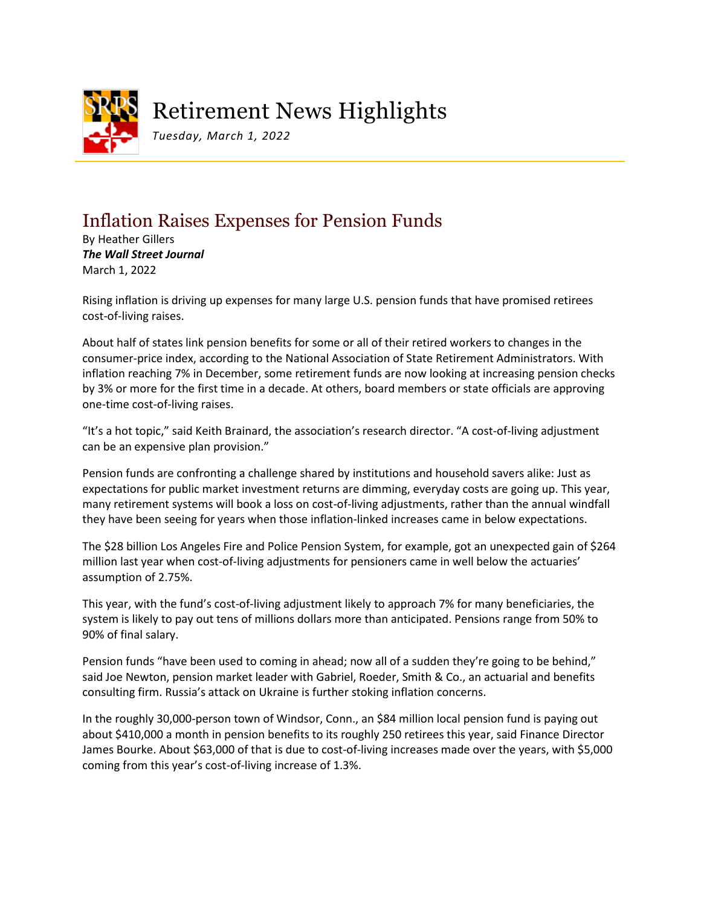

## Retirement News Highlights

*Tuesday, March 1, 2022*

## Inflation Raises Expenses for Pension Funds

By Heather Gillers *The Wall Street Journal* March 1, 2022

Rising inflation is driving up expenses for many large U.S. pension funds that have promised retirees cost-of-living raises.

About half of states link pension benefits for some or all of their retired workers to changes in the consumer-price index, according to the National Association of State Retirement Administrators. With inflation reaching 7% in December, some retirement funds are now looking at increasing pension checks by 3% or more for the first time in a decade. At others, board members or state officials are approving one-time cost-of-living raises.

"It's a hot topic," said Keith Brainard, the association's research director. "A cost-of-living adjustment can be an expensive plan provision."

Pension funds are confronting a challenge shared by institutions and household savers alike: Just as expectations for public market investment returns are dimming, everyday costs are going up. This year, many retirement systems will book a loss on cost-of-living adjustments, rather than the annual windfall they have been seeing for years when those inflation-linked increases came in below expectations.

The \$28 billion Los Angeles Fire and Police Pension System, for example, got an unexpected gain of \$264 million last year when cost-of-living adjustments for pensioners came in well below the actuaries' assumption of 2.75%.

This year, with the fund's cost-of-living adjustment likely to approach 7% for many beneficiaries, the system is likely to pay out tens of millions dollars more than anticipated. Pensions range from 50% to 90% of final salary.

Pension funds "have been used to coming in ahead; now all of a sudden they're going to be behind," said Joe Newton, pension market leader with Gabriel, Roeder, Smith & Co., an actuarial and benefits consulting firm. Russia's attack on Ukraine is further stoking inflation concerns.

In the roughly 30,000-person town of Windsor, Conn., an \$84 million local pension fund is paying out about \$410,000 a month in pension benefits to its roughly 250 retirees this year, said Finance Director James Bourke. About \$63,000 of that is due to cost-of-living increases made over the years, with \$5,000 coming from this year's cost-of-living increase of 1.3%.